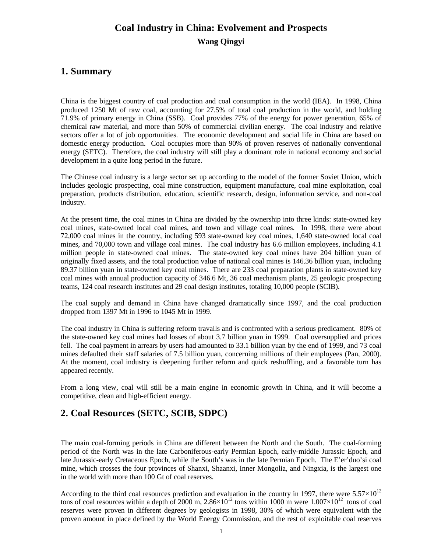## **Coal Industry in China: Evolvement and Prospects Wang Qingyi**

## **1. Summary**

China is the biggest country of coal production and coal consumption in the world (IEA). In 1998, China produced 1250 Mt of raw coal, accounting for 27.5% of total coal production in the world, and holding 71.9% of primary energy in China (SSB). Coal provides 77% of the energy for power generation, 65% of chemical raw material, and more than 50% of commercial civilian energy. The coal industry and relative sectors offer a lot of job opportunities. The economic development and social life in China are based on domestic energy production. Coal occupies more than 90% of proven reserves of nationally conventional energy (SETC). Therefore, the coal industry will still play a dominant role in national economy and social development in a quite long period in the future.

The Chinese coal industry is a large sector set up according to the model of the former Soviet Union, which includes geologic prospecting, coal mine construction, equipment manufacture, coal mine exploitation, coal preparation, products distribution, education, scientific research, design, information service, and non-coal industry.

At the present time, the coal mines in China are divided by the ownership into three kinds: state-owned key coal mines, state-owned local coal mines, and town and village coal mines. In 1998, there were about 72,000 coal mines in the country, including 593 state-owned key coal mines, 1,640 state-owned local coal mines, and 70,000 town and village coal mines. The coal industry has 6.6 million employees, including 4.1 million people in state-owned coal mines. The state-owned key coal mines have 204 billion yuan of originally fixed assets, and the total production value of national coal mines is 146.36 billion yuan, including 89.37 billion yuan in state-owned key coal mines. There are 233 coal preparation plants in state-owned key coal mines with annual production capacity of 346.6 Mt, 36 coal mechanism plants, 25 geologic prospecting teams, 124 coal research institutes and 29 coal design institutes, totaling 10,000 people (SCIB).

The coal supply and demand in China have changed dramatically since 1997, and the coal production dropped from 1397 Mt in 1996 to 1045 Mt in 1999.

The coal industry in China is suffering reform travails and is confronted with a serious predicament. 80% of the state-owned key coal mines had losses of about 3.7 billion yuan in 1999. Coal oversupplied and prices fell. The coal payment in arrears by users had amounted to 33.1 billion yuan by the end of 1999, and 73 coal mines defaulted their staff salaries of 7.5 billion yuan, concerning millions of their employees (Pan, 2000). At the moment, coal industry is deepening further reform and quick reshuffling, and a favorable turn has appeared recently.

From a long view, coal will still be a main engine in economic growth in China, and it will become a competitive, clean and high-efficient energy.

## **2. Coal Resources (SETC, SCIB, SDPC)**

The main coal-forming periods in China are different between the North and the South. The coal-forming period of the North was in the late Carboniferous-early Permian Epoch, early-middle Jurassic Epoch, and late Jurassic-early Cretaceous Epoch, while the South's was in the late Permian Epoch. The E'er'duo'si coal mine, which crosses the four provinces of Shanxi, Shaanxi, Inner Mongolia, and Ningxia, is the largest one in the world with more than 100 Gt of coal reserves.

According to the third coal resources prediction and evaluation in the country in 1997, there were  $5.57\times10^{12}$ tons of coal resources within a depth of 2000 m,  $2.86\times10^{12}$  tons within 1000 m were  $1.007\times10^{12}$  tons of coal reserves were proven in different degrees by geologists in 1998, 30% of which were equivalent with the proven amount in place defined by the World Energy Commission, and the rest of exploitable coal reserves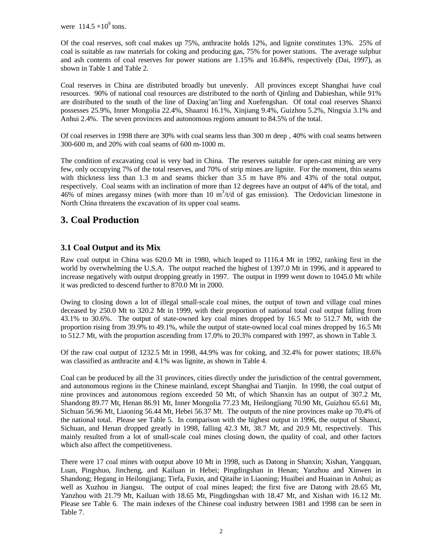were  $114.5 \times 10^9$  tons.

Of the coal reserves, soft coal makes up 75%, anthracite holds 12%, and lignite constitutes 13%. 25% of coal is suitable as raw materials for coking and producing gas, 75% for power stations. The average sulphur and ash contents of coal reserves for power stations are 1.15% and 16.84%, respectively (Dai, 1997), as shown in Table 1 and Table 2.

Coal reserves in China are distributed broadly but unevenly. All provinces except Shanghai have coal resources. 90% of national coal resources are distributed to the north of Qinling and Dabieshan, while 91% are distributed to the south of the line of Daxing'an'ling and Xuefengshan. Of total coal reserves Shanxi possesses 25.9%, Inner Mongolia 22.4%, Shaanxi 16.1%, Xinjiang 9.4%, Guizhou 5.2%, Ningxia 3.1% and Anhui 2.4%. The seven provinces and autonomous regions amount to 84.5% of the total.

Of coal reserves in 1998 there are 30% with coal seams less than 300 m deep , 40% with coal seams between 300-600 m, and 20% with coal seams of 600 m-1000 m.

The condition of excavating coal is very bad in China. The reserves suitable for open-cast mining are very few, only occupying 7% of the total reserves, and 70% of strip mines are lignite. For the moment, thin seams with thickness less than 1.3 m and seams thicker than 3.5 m have 8% and 43% of the total output, respectively. Coal seams with an inclination of more than 12 degrees have an output of 44% of the total, and 46% of mines aregassy mines (with more than 10  $m^3/t/d$  of gas emission). The Ordovician limestone in North China threatens the excavation of its upper coal seams.

## **3. Coal Production**

## **3.1 Coal Output and its Mix**

Raw coal output in China was 620.0 Mt in 1980, which leaped to 1116.4 Mt in 1992, ranking first in the world by overwhelming the U.S.A. The output reached the highest of 1397.0 Mt in 1996, and it appeared to increase negatively with output dropping greatly in 1997. The output in 1999 went down to 1045.0 Mt while it was predicted to descend further to 870.0 Mt in 2000.

Owing to closing down a lot of illegal small-scale coal mines, the output of town and village coal mines deceased by 250.0 Mt to 320.2 Mt in 1999, with their proportion of national total coal output falling from 43.1% to 30.6%. The output of state-owned key coal mines dropped by 16.5 Mt to 512.7 Mt, with the proportion rising from 39.9% to 49.1%, while the output of state-owned local coal mines dropped by 16.5 Mt to 512.7 Mt, with the proportion ascending from 17.0% to 20.3% compared with 1997, as shown in Table 3.

Of the raw coal output of 1232.5 Mt in 1998, 44.9% was for coking, and 32.4% for power stations; 18.6% was classified as anthracite and 4.1% was lignite, as shown in Table 4.

Coal can be produced by all the 31 provinces, cities directly under the jurisdiction of the central government, and autonomous regions in the Chinese mainland, except Shanghai and Tianjin. In 1998, the coal output of nine provinces and autonomous regions exceeded 50 Mt, of which Shanxin has an output of 307.2 Mt, Shandong 89.77 Mt, Henan 86.91 Mt, Inner Mongolia 77.23 Mt, Heilongjiang 70.90 Mt, Guizhou 65.61 Mt, Sichuan 56.96 Mt, Liaoning 56.44 Mt, Hebei 56.37 Mt. The outputs of the nine provinces make up 70.4% of the national total. Please see Table 5. In comparison with the highest output in 1996, the output of Shanxi, Sichuan, and Henan dropped greatly in 1998, falling 42.3 Mt, 38.7 Mt, and 20.9 Mt, respectively. This mainly resulted from a lot of small-scale coal mines closing down, the quality of coal, and other factors which also affect the competitiveness.

There were 17 coal mines with output above 10 Mt in 1998, such as Datong in Shanxin; Xishan, Yangquan, Luan, Pingshuo, Jincheng, and Kailuan in Hebei; Pingdingshan in Henan; Yanzhou and Xinwen in Shandong; Hegang in Heilongjiang; Tiefa, Fuxin, and Qitaihe in Liaoning; Huaibei and Huainan in Anhui; as well as Xuzhou in Jiangsu. The output of coal mines leaped; the first five are Datong with 28.65 Mt, Yanzhou with 21.79 Mt, Kailuan with 18.65 Mt, Pingdingshan with 18.47 Mt, and Xishan with 16.12 Mt. Please see Table 6. The main indexes of the Chinese coal industry between 1981 and 1998 can be seen in Table 7.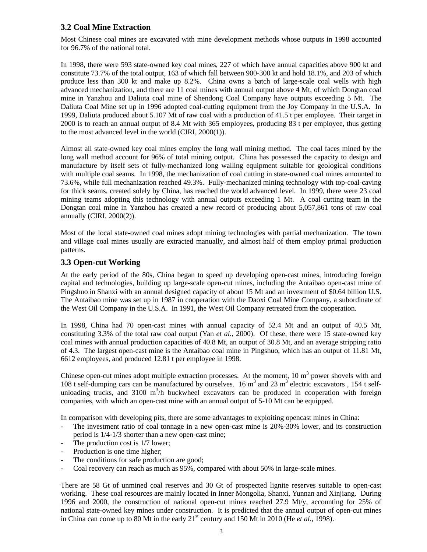## **3.2 Coal Mine Extraction**

Most Chinese coal mines are excavated with mine development methods whose outputs in 1998 accounted for 96.7% of the national total.

In 1998, there were 593 state-owned key coal mines, 227 of which have annual capacities above 900 kt and constitute 73.7% of the total output, 163 of which fall between 900-300 kt and hold 18.1%, and 203 of which produce less than 300 kt and make up 8.2%. China owns a batch of large-scale coal wells with high advanced mechanization, and there are 11 coal mines with annual output above 4 Mt, of which Dongtan coal mine in Yanzhou and Daliuta coal mine of Shendong Coal Company have outputs exceeding 5 Mt. The Daliuta Coal Mine set up in 1996 adopted coal-cutting equipment from the Joy Company in the U.S.A. In 1999, Daliuta produced about 5.107 Mt of raw coal with a production of 41.5 t per employee. Their target in 2000 is to reach an annual output of 8.4 Mt with 365 employees, producing 83 t per employee, thus getting to the most advanced level in the world (CIRI, 2000(1)).

Almost all state-owned key coal mines employ the long wall mining method. The coal faces mined by the long wall method account for 96% of total mining output. China has possessed the capacity to design and manufacture by itself sets of fully-mechanized long walling equipment suitable for geological conditions with multiple coal seams. In 1998, the mechanization of coal cutting in state-owned coal mines amounted to 73.6%, while full mechanization reached 49.3%. Fully-mechanized mining technology with top-coal-caving for thick seams, created solely by China, has reached the world advanced level. In 1999, there were 23 coal mining teams adopting this technology with annual outputs exceeding 1 Mt. A coal cutting team in the Dongtan coal mine in Yanzhou has created a new record of producing about 5,057,861 tons of raw coal annually (CIRI, 2000(2)).

Most of the local state-owned coal mines adopt mining technologies with partial mechanization. The town and village coal mines usually are extracted manually, and almost half of them employ primal production patterns.

## **3.3 Open-cut Working**

At the early period of the 80s, China began to speed up developing open-cast mines, introducing foreign capital and technologies, building up large-scale open-cut mines, including the Antaibao open-cast mine of Pingshuo in Shanxi with an annual designed capacity of about 15 Mt and an investment of \$0.64 billion U.S. The Antaibao mine was set up in 1987 in cooperation with the Daoxi Coal Mine Company, a subordinate of the West Oil Company in the U.S.A. In 1991, the West Oil Company retreated from the cooperation.

In 1998, China had 70 open-cast mines with annual capacity of 52.4 Mt and an output of 40.5 Mt, constituting 3.3% of the total raw coal output (Yan *et al.*, 2000). Of these, there were 15 state-owned key coal mines with annual production capacities of 40.8 Mt, an output of 30.8 Mt, and an average stripping ratio of 4.3. The largest open-cast mine is the Antaibao coal mine in Pingshuo, which has an output of 11.81 Mt, 6612 employees, and produced 12.81 t per employee in 1998.

Chinese open-cut mines adopt multiple extraction processes. At the moment,  $10 \text{ m}^3$  power shovels with and 108 t self-dumping cars can be manufactured by ourselves. 16 m<sup>3</sup> and 23 m<sup>3</sup> electric excavators, 154 t selfunloading trucks, and 3100 m<sup>3</sup>/h buckwheel excavators can be produced in cooperation with foreign companies, with which an open-cast mine with an annual output of 5-10 Mt can be equipped.

In comparison with developing pits, there are some advantages to exploiting opencast mines in China:

- The investment ratio of coal tonnage in a new open-cast mine is 20%-30% lower, and its construction period is 1/4-1/3 shorter than a new open-cast mine;
- The production cost is  $1/7$  lower;
- Production is one time higher;
- The conditions for safe production are good;
- Coal recovery can reach as much as 95%, compared with about 50% in large-scale mines.

There are 58 Gt of unmined coal reserves and 30 Gt of prospected lignite reserves suitable to open-cast working. These coal resources are mainly located in Inner Mongolia, Shanxi, Yunnan and Xinjiang. During 1996 and 2000, the construction of national open-cut mines reached 27.9 Mt/y, accounting for 25% of national state-owned key mines under construction. It is predicted that the annual output of open-cut mines in China can come up to 80 Mt in the early  $21<sup>st</sup>$  century and 150 Mt in 2010 (He *et al.*, 1998).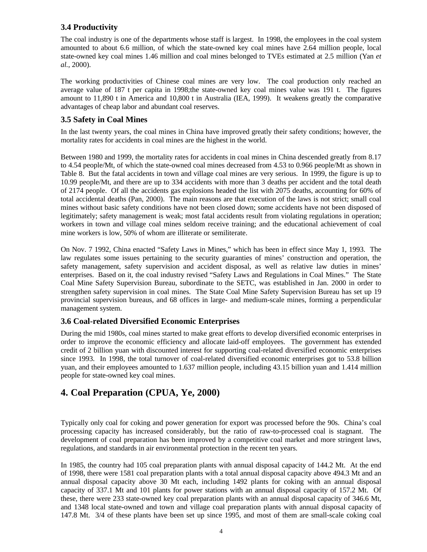## **3.4 Productivity**

The coal industry is one of the departments whose staff is largest. In 1998, the employees in the coal system amounted to about 6.6 million, of which the state-owned key coal mines have 2.64 million people, local state-owned key coal mines 1.46 million and coal mines belonged to TVEs estimated at 2.5 million (Yan *et al.*, 2000).

The working productivities of Chinese coal mines are very low. The coal production only reached an average value of 187 t per capita in 1998;the state-owned key coal mines value was 191 t. The figures amount to 11,890 t in America and 10,800 t in Australia (IEA, 1999). It weakens greatly the comparative advantages of cheap labor and abundant coal reserves.

### **3.5 Safety in Coal Mines**

In the last twenty years, the coal mines in China have improved greatly their safety conditions; however, the mortality rates for accidents in coal mines are the highest in the world.

Between 1980 and 1999, the mortality rates for accidents in coal mines in China descended greatly from 8.17 to 4.54 people/Mt, of which the state-owned coal mines decreased from 4.53 to 0.966 people/Mt as shown in Table 8. But the fatal accidents in town and village coal mines are very serious. In 1999, the figure is up to 10.99 people/Mt, and there are up to 334 accidents with more than 3 deaths per accident and the total death of 2174 people. Of all the accidents gas explosions headed the list with 2075 deaths, accounting for 60% of total accidental deaths (Pan, 2000). The main reasons are that execution of the laws is not strict; small coal mines without basic safety conditions have not been closed down; some accidents have not been disposed of legitimately; safety management is weak; most fatal accidents result from violating regulations in operation; workers in town and village coal mines seldom receive training; and the educational achievement of coal mine workers is low, 50% of whom are illiterate or semiliterate.

On Nov. 7 1992, China enacted "Safety Laws in Mines," which has been in effect since May 1, 1993. The law regulates some issues pertaining to the security guaranties of mines' construction and operation, the safety management, safety supervision and accident disposal, as well as relative law duties in mines' enterprises. Based on it, the coal industry revised "Safety Laws and Regulations in Coal Mines." The State Coal Mine Safety Supervision Bureau, subordinate to the SETC, was established in Jan. 2000 in order to strengthen safety supervision in coal mines. The State Coal Mine Safety Supervision Bureau has set up 19 provincial supervision bureaus, and 68 offices in large- and medium-scale mines, forming a perpendicular management system.

## **3.6 Coal-related Diversified Economic Enterprises**

During the mid 1980s, coal mines started to make great efforts to develop diversified economic enterprises in order to improve the economic efficiency and allocate laid-off employees. The government has extended credit of 2 billion yuan with discounted interest for supporting coal-related diversified economic enterprises since 1993. In 1998, the total turnover of coal-related diversified economic enterprises got to 53.8 billion yuan, and their employees amounted to 1.637 million people, including 43.15 billion yuan and 1.414 million people for state-owned key coal mines.

## **4. Coal Preparation (CPUA, Ye, 2000)**

Typically only coal for coking and power generation for export was processed before the 90s. China's coal processing capacity has increased considerably, but the ratio of raw-to-processed coal is stagnant. The development of coal preparation has been improved by a competitive coal market and more stringent laws, regulations, and standards in air environmental protection in the recent ten years.

In 1985, the country had 105 coal preparation plants with annual disposal capacity of 144.2 Mt. At the end of 1998, there were 1581 coal preparation plants with a total annual disposal capacity above 494.3 Mt and an annual disposal capacity above 30 Mt each, including 1492 plants for coking with an annual disposal capacity of 337.1 Mt and 101 plants for power stations with an annual disposal capacity of 157.2 Mt. Of these, there were 233 state-owned key coal preparation plants with an annual disposal capacity of 346.6 Mt, and 1348 local state-owned and town and village coal preparation plants with annual disposal capacity of 147.8 Mt. 3/4 of these plants have been set up since 1995, and most of them are small-scale coking coal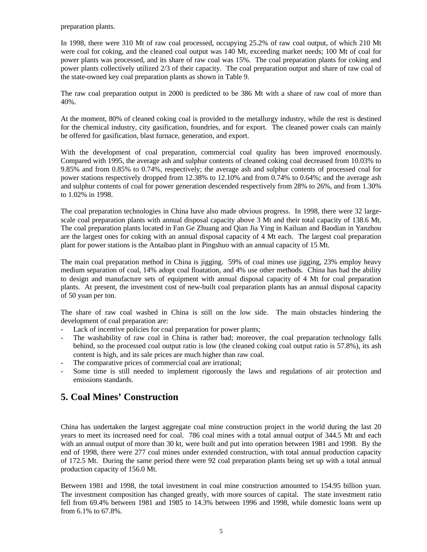preparation plants.

In 1998, there were 310 Mt of raw coal processed, occupying 25.2% of raw coal output, of which 210 Mt were coal for coking, and the cleaned coal output was 140 Mt, exceeding market needs; 100 Mt of coal for power plants was processed, and its share of raw coal was 15%. The coal preparation plants for coking and power plants collectively utilized 2/3 of their capacity. The coal preparation output and share of raw coal of the state-owned key coal preparation plants as shown in Table 9.

The raw coal preparation output in 2000 is predicted to be 386 Mt with a share of raw coal of more than 40%.

At the moment, 80% of cleaned coking coal is provided to the metallurgy industry, while the rest is destined for the chemical industry, city gasification, foundries, and for export. The cleaned power coals can mainly be offered for gasification, blast furnace, generation, and export.

With the development of coal preparation, commercial coal quality has been improved enormously. Compared with 1995, the average ash and sulphur contents of cleaned coking coal decreased from 10.03% to 9.85% and from 0.85% to 0.74%, respectively; the average ash and sulphur contents of processed coal for power stations respectively dropped from 12.38% to 12.10% and from 0.74% to 0.64%; and the average ash and sulphur contents of coal for power generation descended respectively from 28% to 26%, and from 1.30% to 1.02% in 1998.

The coal preparation technologies in China have also made obvious progress. In 1998, there were 32 largescale coal preparation plants with annual disposal capacity above 3 Mt and their total capacity of 138.6 Mt. The coal preparation plants located in Fan Ge Zhuang and Qian Jia Ying in Kailuan and Baodian in Yanzhou are the largest ones for coking with an annual disposal capacity of 4 Mt each. The largest coal preparation plant for power stations is the Antaibao plant in Pingshuo with an annual capacity of 15 Mt.

The main coal preparation method in China is jigging. 59% of coal mines use jigging, 23% employ heavy medium separation of coal, 14% adopt coal floatation, and 4% use other methods. China has had the ability to design and manufacture sets of equipment with annual disposal capacity of 4 Mt for coal preparation plants. At present, the investment cost of new-built coal preparation plants has an annual disposal capacity of 50 yuan per ton.

The share of raw coal washed in China is still on the low side. The main obstacles hindering the development of coal preparation are:

- Lack of incentive policies for coal preparation for power plants;
- The washability of raw coal in China is rather bad; moreover, the coal preparation technology falls behind, so the processed coal output ratio is low (the cleaned coking coal output ratio is 57.8%), its ash content is high, and its sale prices are much higher than raw coal.
- The comparative prices of commercial coal are irrational;
- Some time is still needed to implement rigorously the laws and regulations of air protection and emissions standards.

## **5. Coal Mines' Construction**

China has undertaken the largest aggregate coal mine construction project in the world during the last 20 years to meet its increased need for coal. 786 coal mines with a total annual output of 344.5 Mt and each with an annual output of more than 30 kt, were built and put into operation between 1981 and 1998. By the end of 1998, there were 277 coal mines under extended construction, with total annual production capacity of 172.5 Mt. During the same period there were 92 coal preparation plants being set up with a total annual production capacity of 156.0 Mt.

Between 1981 and 1998, the total investment in coal mine construction amounted to 154.95 billion yuan. The investment composition has changed greatly, with more sources of capital. The state investment ratio fell from 69.4% between 1981 and 1985 to 14.3% between 1996 and 1998, while domestic loans went up from 6.1% to 67.8%.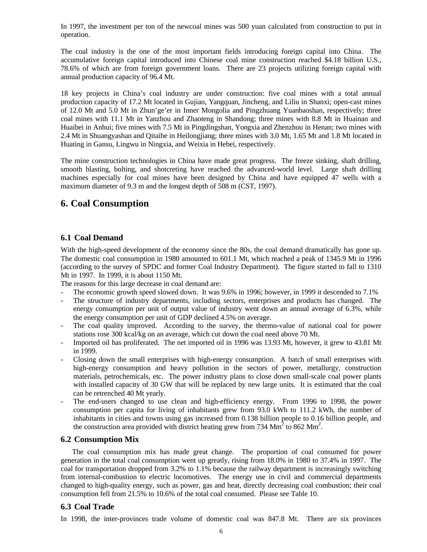In 1997, the investment per ton of the newcoal mines was 500 yuan calculated from construction to put in operation.

The coal industry is the one of the most important fields introducing foreign capital into China. The accumulative foreign capital introduced into Chinese coal mine construction reached \$4.18 billion U.S., 78.6% of which are from foreign government loans. There are 23 projects utilizing foreign capital with annual production capacity of 96.4 Mt.

18 key projects in China's coal industry are under construction: five coal mines with a total annual production capacity of 17.2 Mt located in Gujiao, Yangquan, Jincheng, and Liliu in Shanxi; open-cast mines of 12.0 Mt and 5.0 Mt in Zhun'ge'er in Inner Mongolia and Pingzhuang Yuanbaoshan, respectively; three coal mines with 11.1 Mt in Yanzhou and Zhaoteng in Shandong; three mines with 8.8 Mt in Huainan and Huaibei in Anhui; five mines with 7.5 Mt in Pingdingshan, Yongxia and Zhenzhou in Henan; two mines with 2.4 Mt in Shuangyashan and Qitaihe in Heilongjiang; three mines with 3.0 Mt, 1.65 Mt and 1.8 Mt located in Huating in Gansu, Lingwu in Ningxia, and Weixia in Hebei, respectively.

The mine construction technologies in China have made great progress. The freeze sinking, shaft drilling, smooth blasting, bolting, and shotcreting have reached the advanced-world level. Large shaft drilling machines especially for coal mines have been designed by China and have equipped 47 wells with a maximum diameter of 9.3 m and the longest depth of 508 m (CST, 1997).

## **6. Coal Consumption**

## **6.1 Coal Demand**

With the high-speed development of the economy since the 80s, the coal demand dramatically has gone up. The domestic coal consumption in 1980 amounted to 601.1 Mt, which reached a peak of 1345.9 Mt in 1996 (according to the survey of SPDC and former Coal Industry Department). The figure started to fall to 1310 Mt in 1997. In 1999, it is about 1150 Mt.

The reasons for this large decrease in coal demand are:

- The economic growth speed slowed down. It was 9.6% in 1996; however, in 1999 it descended to 7.1%
- The structure of industry departments, including sectors, enterprises and products has changed. The energy consumption per unit of output value of industry went down an annual average of 6.3%, while the energy consumption per unit of GDP declined 4.5% on average.
- The coal quality improved. According to the survey, the thermo-value of national coal for power stations rose 300 kcal/kg on an average, which cut down the coal need above 70 Mt.
- Imported oil has proliferated. The net imported oil in 1996 was 13.93 Mt, however, it grew to 43.81 Mt in 1999.
- Closing down the small enterprises with high-energy consumption. A batch of small enterprises with high-energy consumption and heavy pollution in the sectors of power, metallurgy, construction materials, petrochemicals, etc. The power industry plans to close down small-scale coal power plants with installed capacity of 30 GW that will be replaced by new large units. It is estimated that the coal can be retrenched 40 Mt yearly.
- The end-users changed to use clean and high-efficiency energy. From 1996 to 1998, the power consumption per capita for living of inhabitants grew from 93.0 kWh to 111.2 kWh, the number of inhabitants in cities and towns using gas increased from 0.138 billion people to 0.16 billion people, and the construction area provided with district heating grew from 734  $\text{Mm}^2$  to 862  $\text{Mm}^2$ .

#### **6.2 Consumption Mix**

The coal consumption mix has made great change. The proportion of coal consumed for power generation in the total coal consumption went up greatly, rising from 18.0% in 1980 to 37.4% in 1997. The coal for transportation dropped from 3.2% to 1.1% because the railway department is increasingly switching from internal-combustion to electric locomotives. The energy use in civil and commercial departments changed to high-quality energy, such as power, gas and heat, directly decreasing coal combustion; their coal consumption fell from 21.5% to 10.6% of the total coal consumed. Please see Table 10.

### **6.3 Coal Trade**

In 1998, the inter-provinces trade volume of domestic coal was 847.8 Mt. There are six provinces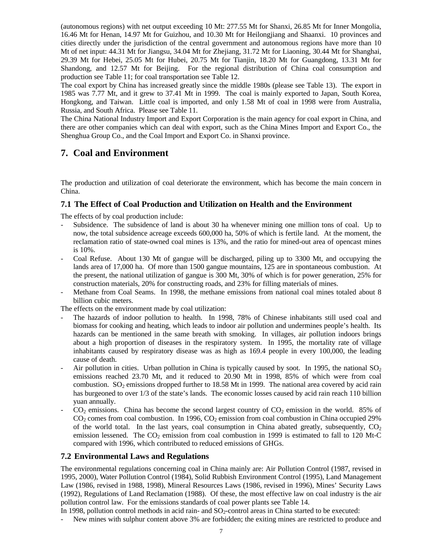(autonomous regions) with net output exceeding 10 Mt: 277.55 Mt for Shanxi, 26.85 Mt for Inner Mongolia, 16.46 Mt for Henan, 14.97 Mt for Guizhou, and 10.30 Mt for Heilongjiang and Shaanxi. 10 provinces and cities directly under the jurisdiction of the central government and autonomous regions have more than 10 Mt of net input: 44.31 Mt for Jiangsu, 34.04 Mt for Zhejiang, 31.72 Mt for Liaoning, 30.44 Mt for Shanghai, 29.39 Mt for Hebei, 25.05 Mt for Hubei, 20.75 Mt for Tianjin, 18.20 Mt for Guangdong, 13.31 Mt for Shandong, and 12.57 Mt for Beijing. For the regional distribution of China coal consumption and production see Table 11; for coal transportation see Table 12.

The coal export by China has increased greatly since the middle 1980s (please see Table 13). The export in 1985 was 7.77 Mt, and it grew to 37.41 Mt in 1999. The coal is mainly exported to Japan, South Korea, Hongkong, and Taiwan. Little coal is imported, and only 1.58 Mt of coal in 1998 were from Australia, Russia, and South Africa. Please see Table 11.

The China National Industry Import and Export Corporation is the main agency for coal export in China, and there are other companies which can deal with export, such as the China Mines Import and Export Co., the Shenghua Group Co., and the Coal Import and Export Co. in Shanxi province.

## **7. Coal and Environment**

The production and utilization of coal deteriorate the environment, which has become the main concern in China.

#### **7.1 The Effect of Coal Production and Utilization on Health and the Environment**

The effects of by coal production include:

- Subsidence. The subsidence of land is about 30 ha whenever mining one million tons of coal. Up to now, the total subsidence acreage exceeds 600,000 ha, 50% of which is fertile land. At the moment, the reclamation ratio of state-owned coal mines is 13%, and the ratio for mined-out area of opencast mines is 10%.
- Coal Refuse. About 130 Mt of gangue will be discharged, piling up to 3300 Mt, and occupying the lands area of 17,000 ha. Of more than 1500 gangue mountains, 125 are in spontaneous combustion. At the present, the national utilization of gangue is 300 Mt, 30% of which is for power generation, 25% for construction materials, 20% for constructing roads, and 23% for filling materials of mines.
- Methane from Coal Seams. In 1998, the methane emissions from national coal mines totaled about 8 billion cubic meters.

The effects on the environment made by coal utilization:

- The hazards of indoor pollution to health. In 1998, 78% of Chinese inhabitants still used coal and biomass for cooking and heating, which leads to indoor air pollution and undermines people's health. Its hazards can be mentioned in the same breath with smoking. In villages, air pollution indoors brings about a high proportion of diseases in the respiratory system. In 1995, the mortality rate of village inhabitants caused by respiratory disease was as high as 169.4 people in every 100,000, the leading cause of death.
- Air pollution in cities. Urban pollution in China is typically caused by soot. In 1995, the national  $SO<sub>2</sub>$ emissions reached 23.70 Mt, and it reduced to 20.90 Mt in 1998, 85% of which were from coal combustion. SO<sub>2</sub> emissions dropped further to 18.58 Mt in 1999. The national area covered by acid rain has burgeoned to over 1/3 of the state's lands. The economic losses caused by acid rain reach 110 billion yuan annually.
- $CO<sub>2</sub>$  emissions. China has become the second largest country of  $CO<sub>2</sub>$  emission in the world. 85% of  $CO<sub>2</sub>$  comes from coal combustion. In 1996,  $CO<sub>2</sub>$  emission from coal combustion in China occupied 29% of the world total. In the last years, coal consumption in China abated greatly, subsequently,  $CO<sub>2</sub>$ emission lessened. The  $CO<sub>2</sub>$  emission from coal combustion in 1999 is estimated to fall to 120 Mt-C compared with 1996, which contributed to reduced emissions of GHGs.

## **7.2 Environmental Laws and Regulations**

The environmental regulations concerning coal in China mainly are: Air Pollution Control (1987, revised in 1995, 2000), Water Pollution Control (1984), Solid Rubbish Environment Control (1995), Land Management Law (1986, revised in 1988, 1998), Mineral Resources Laws (1986, revised in 1996), Mines' Security Laws (1992), Regulations of Land Reclamation (1988). Of these, the most effective law on coal industry is the air pollution control law. For the emissions standards of coal power plants see Table 14.

- In 1998, pollution control methods in acid rain- and  $SO<sub>2</sub>$ -control areas in China started to be executed:
- New mines with sulphur content above 3% are forbidden; the exiting mines are restricted to produce and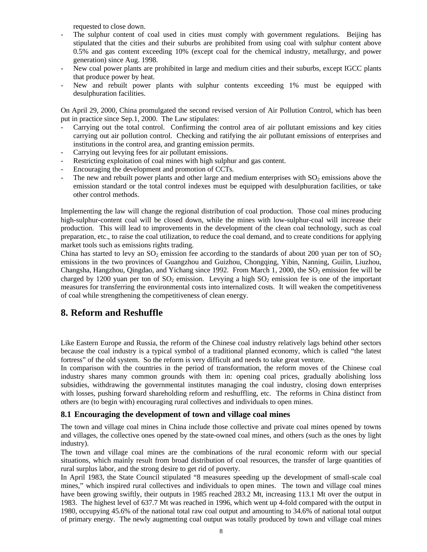requested to close down.

- The sulphur content of coal used in cities must comply with government regulations. Beijing has stipulated that the cities and their suburbs are prohibited from using coal with sulphur content above 0.5% and gas content exceeding 10% (except coal for the chemical industry, metallurgy, and power generation) since Aug. 1998.
- New coal power plants are prohibited in large and medium cities and their suburbs, except IGCC plants that produce power by heat.
- New and rebuilt power plants with sulphur contents exceeding 1% must be equipped with desulphuration facilities.

On April 29, 2000, China promulgated the second revised version of Air Pollution Control, which has been put in practice since Sep.1, 2000. The Law stipulates:

- Carrying out the total control. Confirming the control area of air pollutant emissions and key cities carrying out air pollution control. Checking and ratifying the air pollutant emissions of enterprises and institutions in the control area, and granting emission permits.
- Carrying out levying fees for air pollutant emissions.
- Restricting exploitation of coal mines with high sulphur and gas content.
- Encouraging the development and promotion of CCTs.
- The new and rebuilt power plants and other large and medium enterprises with  $SO_2$  emissions above the emission standard or the total control indexes must be equipped with desulphuration facilities, or take other control methods.

Implementing the law will change the regional distribution of coal production. Those coal mines producing high-sulphur-content coal will be closed down, while the mines with low-sulphur-coal will increase their production. This will lead to improvements in the development of the clean coal technology, such as coal preparation, etc., to raise the coal utilization, to reduce the coal demand, and to create conditions for applying market tools such as emissions rights trading.

China has started to levy an  $SO_2$  emission fee according to the standards of about 200 yuan per ton of  $SO_2$ emissions in the two provinces of Guangzhou and Guizhou, Chongqing, Yibin, Nanning, Guilin, Liuzhou, Changsha, Hangzhou, Qingdao, and Yichang since 1992. From March 1, 2000, the  $SO_2$  emission fee will be charged by 1200 yuan per ton of  $SO_2$  emission. Levying a high  $SO_2$  emission fee is one of the important measures for transferring the environmental costs into internalized costs. It will weaken the competitiveness of coal while strengthening the competitiveness of clean energy.

## **8. Reform and Reshuffle**

Like Eastern Europe and Russia, the reform of the Chinese coal industry relatively lags behind other sectors because the coal industry is a typical symbol of a traditional planned economy, which is called "the latest fortress" of the old system. So the reform is very difficult and needs to take great venture.

In comparison with the countries in the period of transformation, the reform moves of the Chinese coal industry shares many common grounds with them in: opening coal prices, gradually abolishing loss subsidies, withdrawing the governmental institutes managing the coal industry, closing down enterprises with losses, pushing forward shareholding reform and reshuffling, etc. The reforms in China distinct from others are (to begin with) encouraging rural collectives and individuals to open mines.

#### **8.1 Encouraging the development of town and village coal mines**

The town and village coal mines in China include those collective and private coal mines opened by towns and villages, the collective ones opened by the state-owned coal mines, and others (such as the ones by light industry).

The town and village coal mines are the combinations of the rural economic reform with our special situations, which mainly result from broad distribution of coal resources, the transfer of large quantities of rural surplus labor, and the strong desire to get rid of poverty.

In April 1983, the State Council stipulated "8 measures speeding up the development of small-scale coal mines," which inspired rural collectives and individuals to open mines. The town and village coal mines have been growing swiftly, their outputs in 1985 reached 283.2 Mt, increasing 113.1 Mt over the output in 1983. The highest level of 637.7 Mt was reached in 1996, which went up 4-fold compared with the output in 1980, occupying 45.6% of the national total raw coal output and amounting to 34.6% of national total output of primary energy. The newly augmenting coal output was totally produced by town and village coal mines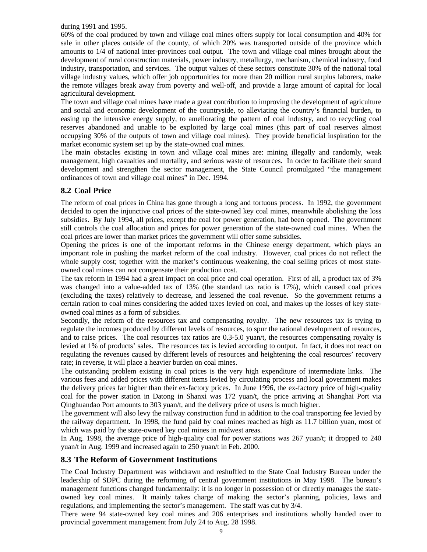during 1991 and 1995.

60% of the coal produced by town and village coal mines offers supply for local consumption and 40% for sale in other places outside of the county, of which 20% was transported outside of the province which amounts to 1/4 of national inter-provinces coal output. The town and village coal mines brought about the development of rural construction materials, power industry, metallurgy, mechanism, chemical industry, food industry, transportation, and services. The output values of these sectors constitute 30% of the national total village industry values, which offer job opportunities for more than 20 million rural surplus laborers, make the remote villages break away from poverty and well-off, and provide a large amount of capital for local agricultural development.

The town and village coal mines have made a great contribution to improving the development of agriculture and social and economic development of the countryside, to alleviating the country's financial burden, to easing up the intensive energy supply, to ameliorating the pattern of coal industry, and to recycling coal reserves abandoned and unable to be exploited by large coal mines (this part of coal reserves almost occupying 30% of the outputs of town and village coal mines). They provide beneficial inspiration for the market economic system set up by the state-owned coal mines.

The main obstacles existing in town and village coal mines are: mining illegally and randomly, weak management, high casualties and mortality, and serious waste of resources. In order to facilitate their sound development and strengthen the sector management, the State Council promulgated "the management ordinances of town and village coal mines" in Dec. 1994.

#### **8.2 Coal Price**

The reform of coal prices in China has gone through a long and tortuous process. In 1992, the government decided to open the injunctive coal prices of the state-owned key coal mines, meanwhile abolishing the loss subsidies. By July 1994, all prices, except the coal for power generation, had been opened. The government still controls the coal allocation and prices for power generation of the state-owned coal mines. When the coal prices are lower than market prices the government will offer some subsidies.

Opening the prices is one of the important reforms in the Chinese energy department, which plays an important role in pushing the market reform of the coal industry. However, coal prices do not reflect the whole supply cost; together with the market's continuous weakening, the coal selling prices of most stateowned coal mines can not compensate their production cost.

The tax reform in 1994 had a great impact on coal price and coal operation. First of all, a product tax of 3% was changed into a value-added tax of 13% (the standard tax ratio is 17%), which caused coal prices (excluding the taxes) relatively to decrease, and lessened the coal revenue. So the government returns a certain ration to coal mines considering the added taxes levied on coal, and makes up the losses of key stateowned coal mines as a form of subsidies.

Secondly, the reform of the resources tax and compensating royalty. The new resources tax is trying to regulate the incomes produced by different levels of resources, to spur the rational development of resources, and to raise prices. The coal resources tax ratios are 0.3-5.0 yuan/t, the resources compensating royalty is levied at 1% of products' sales. The resources tax is levied according to output. In fact, it does not react on regulating the revenues caused by different levels of resources and heightening the coal resources' recovery rate; in reverse, it will place a heavier burden on coal mines.

The outstanding problem existing in coal prices is the very high expenditure of intermediate links. The various fees and added prices with different items levied by circulating process and local government makes the delivery prices far higher than their ex-factory prices. In June 1996, the ex-factory price of high-quality coal for the power station in Datong in Shanxi was 172 yuan/t, the price arriving at Shanghai Port via Qinghuandao Port amounts to 303 yuan/t, and the delivery price of users is much higher.

The government will also levy the railway construction fund in addition to the coal transporting fee levied by the railway department. In 1998, the fund paid by coal mines reached as high as 11.7 billion yuan, most of which was paid by the state-owned key coal mines in midwest areas.

In Aug. 1998, the average price of high-quality coal for power stations was 267 yuan/t; it dropped to 240 yuan/t in Aug. 1999 and increased again to 250 yuan/t in Feb. 2000.

#### **8.3 The Reform of Government Institutions**

The Coal Industry Department was withdrawn and reshuffled to the State Coal Industry Bureau under the leadership of SDPC during the reforming of central government institutions in May 1998. The bureau's management functions changed fundamentally: it is no longer in possession of or directly manages the stateowned key coal mines. It mainly takes charge of making the sector's planning, policies, laws and regulations, and implementing the sector's management. The staff was cut by 3/4.

There were 94 state-owned key coal mines and 206 enterprises and institutions wholly handed over to provincial government management from July 24 to Aug. 28 1998.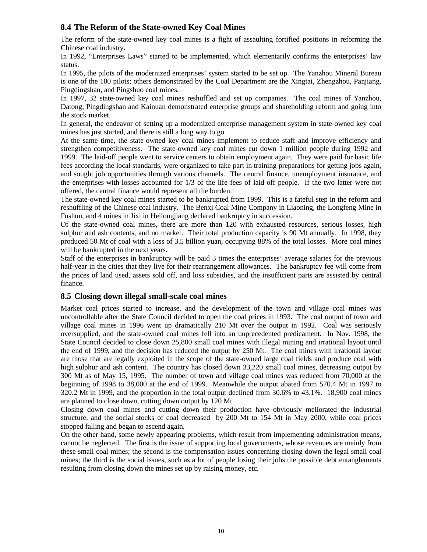## **8.4 The Reform of the State-owned Key Coal Mines**

The reform of the state-owned key coal mines is a fight of assaulting fortified positions in reforming the Chinese coal industry.

In 1992, "Enterprises Laws" started to be implemented, which elementarily confirms the enterprises' law status.

In 1995, the pilots of the modernized enterprises' system started to be set up. The Yanzhou Mineral Bureau is one of the 100 pilots; others demonstrated by the Coal Department are the Xingtai, Zhengzhou, Panjiang, Pingdingshan, and Pingshuo coal mines.

In 1997, 32 state-owned key coal mines reshuffled and set up companies. The coal mines of Yanzhou, Datong, Pingdingshan and Kainuan demonstrated enterprise groups and shareholding reform and going into the stock market.

In general, the endeavor of setting up a modernized enterprise management system in state-owned key coal mines has just started, and there is still a long way to go.

At the same time, the state-owned key coal mines implement to reduce staff and improve efficiency and strengthen competitiveness. The state-owned key coal mines cut down 1 million people during 1992 and 1999. The laid-off people went to service centers to obtain employment again. They were paid for basic life fees according the local standards, were organized to take part in training preparations for getting jobs again, and sought job opportunities through various channels. The central finance, unemployment insurance, and the enterprises-with-losses accounted for 1/3 of the life fees of laid-off people. If the two latter were not offered, the central finance would represent all the burden.

The state-owned key coal mines started to be bankrupted from 1999. This is a fateful step in the reform and reshuffling of the Chinese coal industry. The Benxi Coal Mine Company in Liaoning, the Longfeng Mine in Fushun, and 4 mines in Jixi in Heilongjiang declared bankruptcy in succession.

Of the state-owned coal mines, there are more than 120 with exhausted resources, serious losses, high sulphur and ash contents, and no market. Their total production capacity is 90 Mt annually. In 1998, they produced 50 Mt of coal with a loss of 3.5 billion yuan, occupying 88% of the total losses. More coal mines will be bankrupted in the next years.

Staff of the enterprises in bankruptcy will be paid 3 times the enterprises' average salaries for the previous half-year in the cities that they live for their rearrangement allowances. The bankruptcy fee will come from the prices of land used, assets sold off, and loss subsidies, and the insufficient parts are assisted by central finance.

#### **8.5 Closing down illegal small-scale coal mines**

Market coal prices started to increase, and the development of the town and village coal mines was uncontrollable after the State Council decided to open the coal prices in 1993. The coal output of town and village coal mines in 1996 went up dramatically 210 Mt over the output in 1992. Coal was seriously oversupplied, and the state-owned coal mines fell into an unprecedented predicament. In Nov. 1998, the State Council decided to close down 25,800 small coal mines with illegal mining and irrational layout until the end of 1999, and the decision has reduced the output by 250 Mt. The coal mines with irrational layout are those that are legally exploited in the scope of the state-owned large coal fields and produce coal with high sulphur and ash content. The country has closed down 33,220 small coal mines, decreasing output by 300 Mt as of May 15, 1995. The number of town and village coal mines was reduced from 70,000 at the beginning of 1998 to 38,000 at the end of 1999. Meanwhile the output abated from 570.4 Mt in 1997 to 320.2 Mt in 1999, and the proportion in the total output declined from 30.6% to 43.1%. 18,900 coal mines are planned to close down, cutting down output by 120 Mt.

Closing down coal mines and cutting down their production have obviously meliorated the industrial structure, and the social stocks of coal decreased by 200 Mt to 154 Mt in May 2000, while coal prices stopped falling and began to ascend again.

On the other hand, some newly appearing problems, which result from implementing administration means, cannot be neglected. The first is the issue of supporting local governments, whose revenues are mainly from these small coal mines; the second is the compensation issues concerning closing down the legal small coal mines; the third is the social issues, such as a lot of people losing their jobs the possible debt entanglements resulting from closing down the mines set up by raising money, etc.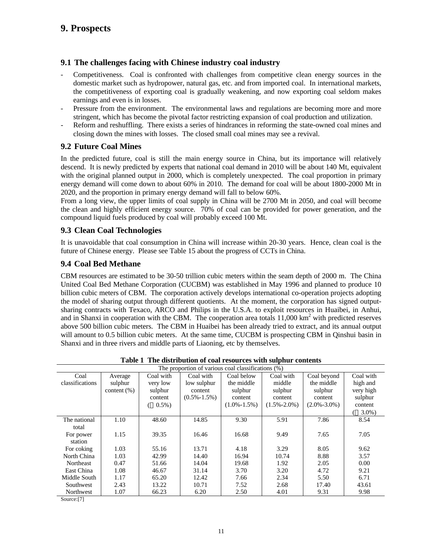## **9.1 The challenges facing with Chinese industry coal industry**

- Competitiveness. Coal is confronted with challenges from competitive clean energy sources in the domestic market such as hydropower, natural gas, etc. and from imported coal. In international markets, the competitiveness of exporting coal is gradually weakening, and now exporting coal seldom makes earnings and even is in losses.
- Pressure from the environment. The environmental laws and regulations are becoming more and more stringent, which has become the pivotal factor restricting expansion of coal production and utilization.
- Reform and reshuffling. There exists a series of hindrances in reforming the state-owned coal mines and closing down the mines with losses. The closed small coal mines may see a revival.

## **9.2 Future Coal Mines**

In the predicted future, coal is still the main energy source in China, but its importance will relatively descend. It is newly predicted by experts that national coal demand in 2010 will be about 140 Mt, equivalent with the original planned output in 2000, which is completely unexpected. The coal proportion in primary energy demand will come down to about 60% in 2010. The demand for coal will be about 1800-2000 Mt in 2020, and the proportion in primary energy demand will fall to below 60%.

From a long view, the upper limits of coal supply in China will be 2700 Mt in 2050, and coal will become the clean and highly efficient energy source. 70% of coal can be provided for power generation, and the compound liquid fuels produced by coal will probably exceed 100 Mt.

## **9.3 Clean Coal Technologies**

It is unavoidable that coal consumption in China will increase within 20-30 years. Hence, clean coal is the future of Chinese energy. Please see Table 15 about the progress of CCTs in China.

## **9.4 Coal Bed Methane**

CBM resources are estimated to be 30-50 trillion cubic meters within the seam depth of 2000 m. The China United Coal Bed Methane Corporation (CUCBM) was established in May 1996 and planned to produce 10 billion cubic meters of CBM. The corporation actively develops international co-operation projects adopting the model of sharing output through different quotients. At the moment, the corporation has signed outputsharing contracts with Texaco, ARCO and Philips in the U.S.A. to exploit resources in Huaibei, in Anhui, and in Shanxi in cooperation with the CBM. The cooperation area totals  $11,000$  km<sup>2</sup> with predicted reserves above 500 billion cubic meters. The CBM in Huaibei has been already tried to extract, and its annual output will amount to 0.5 billion cubic meters. At the same time, CUCBM is prospecting CBM in Qinshui basin in Shanxi and in three rivers and middle parts of Liaoning, etc by themselves.

|                   | The proportion of various coal classifications (%) |           |                   |                   |                   |                   |           |  |  |
|-------------------|----------------------------------------------------|-----------|-------------------|-------------------|-------------------|-------------------|-----------|--|--|
| Coal              | Average                                            | Coal with | Coal with         | Coal below        | Coal with         | Coal beyond       | Coal with |  |  |
| classifications   | sulphur                                            | very low  | low sulphur       | the middle        | middle            | the middle        | high and  |  |  |
|                   | content $(\% )$                                    | sulphur   | content           | sulphur           | sulphur           | sulphur           | very high |  |  |
|                   |                                                    | content   | $(0.5\% - 1.5\%)$ | content           | content           | content           | sulphur   |  |  |
|                   |                                                    | $0.5\%$ ) |                   | $(1.0\% - 1.5\%)$ | $(1.5\% - 2.0\%)$ | $(2.0\% - 3.0\%)$ | content   |  |  |
|                   |                                                    |           |                   |                   |                   |                   | $3.0\%$ ) |  |  |
| The national      | 1.10                                               | 48.60     | 14.85             | 9.30              | 5.91              | 7.86              | 8.54      |  |  |
| total             |                                                    |           |                   |                   |                   |                   |           |  |  |
| For power         | 1.15                                               | 39.35     | 16.46             | 16.68             | 9.49              | 7.65              | 7.05      |  |  |
| station           |                                                    |           |                   |                   |                   |                   |           |  |  |
| For coking        | 1.03                                               | 55.16     | 13.71             | 4.18              | 3.29              | 8.05              | 9.62      |  |  |
| North China       | 1.03                                               | 42.99     | 14.40             | 16.94             | 10.74             | 8.88              | 3.57      |  |  |
| Northeast         | 0.47                                               | 51.66     | 14.04             | 19.68             | 1.92              | 2.05              | 0.00      |  |  |
| East China        | 1.08                                               | 46.67     | 31.14             | 3.70              | 3.20              | 4.72              | 9.21      |  |  |
| Middle South      | 1.17                                               | 65.20     | 12.42             | 7.66              | 2.34              | 5.50              | 6.71      |  |  |
| Southwest         | 2.43                                               | 13.22     | 10.71             | 7.52              | 2.68              | 17.40             | 43.61     |  |  |
| Northwest         | 1.07                                               | 66.23     | 6.20              | 2.50              | 4.01              | 9.31              | 9.98      |  |  |
| $\alpha$ $\alpha$ |                                                    |           |                   |                   |                   |                   |           |  |  |

**Table 1 The distribution of coal resources with sulphur contents**

Source:[7]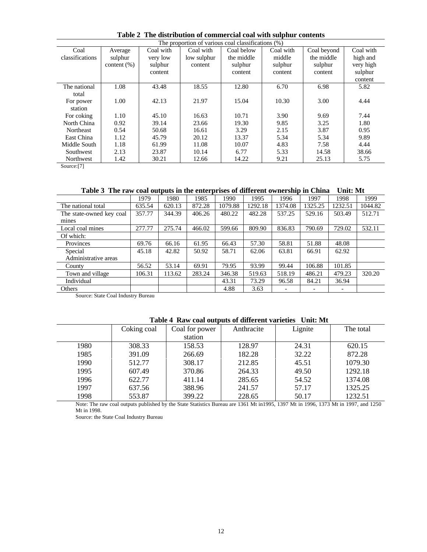|                 | The proportion of various coal classifications (%) |           |             |            |           |             |           |  |  |
|-----------------|----------------------------------------------------|-----------|-------------|------------|-----------|-------------|-----------|--|--|
| Coal            | Average                                            | Coal with | Coal with   | Coal below | Coal with | Coal beyond | Coal with |  |  |
| classifications | sulphur                                            | very low  | low sulphur | the middle | middle    | the middle  | high and  |  |  |
|                 | content $(\%)$                                     | sulphur   | content     | sulphur    | sulphur   | sulphur     | very high |  |  |
|                 |                                                    | content   |             | content    | content   | content     | sulphur   |  |  |
|                 |                                                    |           |             |            |           |             | content   |  |  |
| The national    | 1.08                                               | 43.48     | 18.55       | 12.80      | 6.70      | 6.98        | 5.82      |  |  |
| total           |                                                    |           |             |            |           |             |           |  |  |
| For power       | 1.00                                               | 42.13     | 21.97       | 15.04      | 10.30     | 3.00        | 4.44      |  |  |
| station         |                                                    |           |             |            |           |             |           |  |  |
| For coking      | 1.10                                               | 45.10     | 16.63       | 10.71      | 3.90      | 9.69        | 7.44      |  |  |
| North China     | 0.92                                               | 39.14     | 23.66       | 19.30      | 9.85      | 3.25        | 1.80      |  |  |
| Northeast       | 0.54                                               | 50.68     | 16.61       | 3.29       | 2.15      | 3.87        | 0.95      |  |  |
| East China      | 1.12                                               | 45.79     | 20.12       | 13.37      | 5.34      | 5.34        | 9.89      |  |  |
| Middle South    | 1.18                                               | 61.99     | 11.08       | 10.07      | 4.83      | 7.58        | 4.44      |  |  |
| Southwest       | 2.13                                               | 23.87     | 10.14       | 6.77       | 5.33      | 14.58       | 38.66     |  |  |
| Northwest       | 1.42                                               | 30.21     | 12.66       | 14.22      | 9.21      | 25.13       | 5.75      |  |  |

**Table 2 The distribution of commercial coal with sulphur contents**

Source:[7]

#### **Table 3 The raw coal outputs in the enterprises of different ownership in China Unit: Mt**

|                          | 1979   | 1980   | 1985   | 1990    | 1995    | 1996    | 1997    | 1998    | 1999    |
|--------------------------|--------|--------|--------|---------|---------|---------|---------|---------|---------|
| The national total       | 635.54 | 620.13 | 872.28 | 1079.88 | 1292.18 | 1374.08 | 1325.25 | 1232.51 | 1044.82 |
| The state-owned key coal | 357.77 | 344.39 | 406.26 | 480.22  | 482.28  | 537.25  | 529.16  | 503.49  | 512.71  |
| mines                    |        |        |        |         |         |         |         |         |         |
| Local coal mines         | 277.77 | 275.74 | 466.02 | 599.66  | 809.90  | 836.83  | 790.69  | 729.02  | 532.11  |
| Of which:                |        |        |        |         |         |         |         |         |         |
| Provinces                | 69.76  | 66.16  | 61.95  | 66.43   | 57.30   | 58.81   | 51.88   | 48.08   |         |
| Special                  | 45.18  | 42.82  | 50.92  | 58.71   | 62.06   | 63.81   | 66.91   | 62.92   |         |
| Administrative areas     |        |        |        |         |         |         |         |         |         |
| County                   | 56.52  | 53.14  | 69.91  | 79.95   | 93.99   | 99.44   | 106.88  | 101.85  |         |
| Town and village         | 106.31 | 113.62 | 283.24 | 346.38  | 519.63  | 518.19  | 486.21  | 479.23  | 320.20  |
| Individual               |        |        |        | 43.31   | 73.29   | 96.58   | 84.21   | 36.94   |         |
| Others                   |        |        |        | 4.88    | 3.63    |         |         |         |         |

Source: State Coal Industry Bureau

|  |  |  | Table 4 Raw coal outputs of different varieties Unit: Mt |  |
|--|--|--|----------------------------------------------------------|--|
|--|--|--|----------------------------------------------------------|--|

|      | Coking coal | Coal for power | Anthracite | Lignite | The total |
|------|-------------|----------------|------------|---------|-----------|
|      |             | station        |            |         |           |
| 1980 | 308.33      | 158.53         | 128.97     | 24.31   | 620.15    |
| 1985 | 391.09      | 266.69         | 182.28     | 32.22   | 872.28    |
| 1990 | 512.77      | 308.17         | 212.85     | 45.51   | 1079.30   |
| 1995 | 607.49      | 370.86         | 264.33     | 49.50   | 1292.18   |
| 1996 | 622.77      | 411.14         | 285.65     | 54.52   | 1374.08   |
| 1997 | 637.56      | 388.96         | 241.57     | 57.17   | 1325.25   |
| 1998 | 553.87      | 399.22         | 228.65     | 50.17   | 1232.51   |

Note: The raw coal outputs published by the State Statistics Bureau are 1361 Mt in1995, 1397 Mt in 1996, 1373 Mt in 1997, and 1250 Mt in 1998.

Source: the State Coal Industry Bureau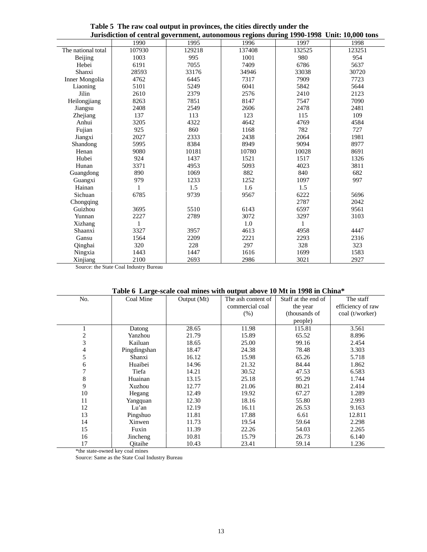|                    |        |        | Jurisdiction of central government, autonomous regions during 1990-1998 Unit: 10,000 tons |        |        |
|--------------------|--------|--------|-------------------------------------------------------------------------------------------|--------|--------|
|                    | 1990   | 1995   | 1996                                                                                      | 1997   | 1998   |
| The national total | 107930 | 129218 | 137408                                                                                    | 132525 | 123251 |
| Beijing            | 1003   | 995    | 1001                                                                                      | 980    | 954    |
| Hebei              | 6191   | 7055   | 7409                                                                                      | 6786   | 5637   |
| Shanxi             | 28593  | 33176  | 34946                                                                                     | 33038  | 30720  |
| Inner Mongolia     | 4762   | 6445   | 7317                                                                                      | 7909   | 7723   |
| Liaoning           | 5101   | 5249   | 6041                                                                                      | 5842   | 5644   |
| Jilin              | 2610   | 2379   | 2576                                                                                      | 2410   | 2123   |
| Heilongjiang       | 8263   | 7851   | 8147                                                                                      | 7547   | 7090   |
| Jiangsu            | 2408   | 2549   | 2606                                                                                      | 2478   | 2481   |
| Zhejiang           | 137    | 113    | 123                                                                                       | 115    | 109    |
| Anhui              | 3205   | 4322   | 4642                                                                                      | 4769   | 4584   |
| Fujian             | 925    | 860    | 1168                                                                                      | 782    | 727    |
| Jiangxi            | 2027   | 2333   | 2438                                                                                      | 2064   | 1981   |
| Shandong           | 5995   | 8384   | 8949                                                                                      | 9094   | 8977   |
| Henan              | 9080   | 10181  | 10780                                                                                     | 10028  | 8691   |
| Hubei              | 924    | 1437   | 1521                                                                                      | 1517   | 1326   |
| Hunan              | 3371   | 4953   | 5093                                                                                      | 4023   | 3811   |
| Guangdong          | 890    | 1069   | 882                                                                                       | 840    | 682    |
| Guangxi            | 979    | 1233   | 1252                                                                                      | 1097   | 997    |
| Hainan             | 1      | 1.5    | 1.6                                                                                       | 1.5    |        |
| Sichuan            | 6785   | 9739   | 9567                                                                                      | 6222   | 5696   |
| Chongqing          |        |        |                                                                                           | 2787   | 2042   |
| Guizhou            | 3695   | 5510   | 6143                                                                                      | 6597   | 9561   |
| Yunnan             | 2227   | 2789   | 3072                                                                                      | 3297   | 3103   |
| Xizhang            | 1      |        | 1.0                                                                                       | 1      |        |
| Shaanxi            | 3327   | 3957   | 4613                                                                                      | 4958   | 4447   |
| Gansu              | 1564   | 2209   | 2221                                                                                      | 2293   | 2316   |
| Qinghai            | 320    | 228    | 297                                                                                       | 328    | 323    |
| Ningxia            | 1443   | 1447   | 1616                                                                                      | 1699   | 1583   |
| Xinjiang           | 2100   | 2693   | 2986                                                                                      | 3021   | 2927   |

**Table 5 The raw coal output in provinces, the cities directly under the Jurisdiction of central government, autonomous regions during 1990-1998 Unit: 10,000 tons**

Source: the State Coal Industry Bureau

| No.            | Coal Mine<br>Output (Mt) |       | The ash content of | Staff at the end of | The staff         |
|----------------|--------------------------|-------|--------------------|---------------------|-------------------|
|                |                          |       | commercial coal    | the year            | efficiency of raw |
|                |                          |       | (% )               | (thousands of       | coal (t/worker)   |
|                |                          |       |                    | people)             |                   |
|                | Datong                   | 28.65 | 11.98              | 115.81              | 3.561             |
| $\overline{c}$ | Yanzhou                  | 21.79 | 15.89              | 65.52               | 8.896             |
| 3              | Kailuan                  | 18.65 | 25.00              | 99.16               | 2.454             |
| $\overline{4}$ | Pingdingshan             | 18.47 | 24.38              | 78.48               | 3.303             |
| 5              | Shanxi                   | 16.12 | 15.98              | 65.26               | 5.718             |
| 6              | Huaibei                  | 14.96 | 21.32              | 84.44               | 1.862             |
| 7              | Tiefa                    | 14.21 | 30.52              | 47.53               | 6.583             |
| $\,8$          | Huainan                  | 13.15 | 25.18              | 95.29               | 1.744             |
| 9              | Xuzhou                   | 12.77 | 21.06              | 80.21               | 2.414             |
| 10             | Hegang                   | 12.49 | 19.92              | 67.27               | 1.289             |
| 11             | Yangquan                 | 12.30 | 18.16              | 55.80               | 2.993             |
| 12             | $Lu'$ an                 | 12.19 | 16.11              | 26.53               | 9.163             |
| 13             | Pingshuo                 | 11.81 | 17.88              | 6.61                | 12.811            |
| 14             | Xinwen                   | 11.73 | 19.54              | 59.64               | 2.298             |
| 15             | Fuxin                    | 11.39 | 22.26              | 54.03               | 2.265             |
| 16             | Jincheng                 | 10.81 | 15.79              | 26.73               | 6.140             |
| 17             | Oitaihe                  | 10.43 | 23.41              | 59.14               | 1.236             |

\*the state-owned key coal mines

Source: Same as the State Coal Industry Bureau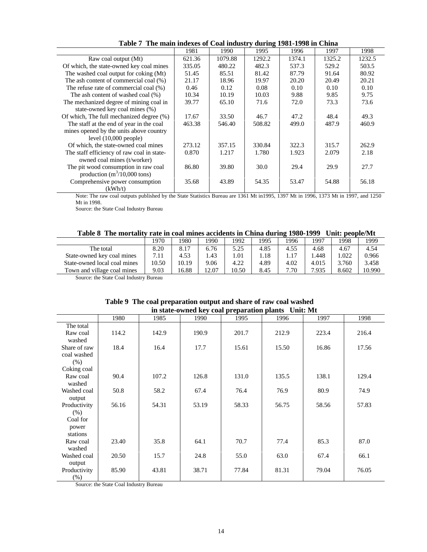| Table / The main muckes of Coal muastry unring 1701-1770 in Clima |        |         |        |        |        |        |
|-------------------------------------------------------------------|--------|---------|--------|--------|--------|--------|
|                                                                   | 1981   | 1990    | 1995   | 1996   | 1997   | 1998   |
| Raw coal output (Mt)                                              | 621.36 | 1079.88 | 1292.2 | 1374.1 | 1325.2 | 1232.5 |
| Of which, the state-owned key coal mines                          | 335.05 | 480.22  | 482.3  | 537.3  | 529.2  | 503.5  |
| The washed coal output for coking (Mt)                            | 51.45  | 85.51   | 81.42  | 87.79  | 91.64  | 80.92  |
| The ash content of commercial coal (%)                            | 21.17  | 18.96   | 19.97  | 20.20  | 20.49  | 20.21  |
| The refuse rate of commercial coal (%)                            | 0.46   | 0.12    | 0.08   | 0.10   | 0.10   | 0.10   |
| The ash content of washed coal (%)                                | 10.34  | 10.19   | 10.03  | 9.88   | 9.85   | 9.75   |
| The mechanized degree of mining coal in                           | 39.77  | 65.10   | 71.6   | 72.0   | 73.3   | 73.6   |
| state-owned key coal mines (%)                                    |        |         |        |        |        |        |
| Of which, The full mechanized degree (%)                          | 17.67  | 33.50   | 46.7   | 47.2   | 48.4   | 49.3   |
| The staff at the end of year in the coal                          | 463.38 | 546.40  | 508.82 | 499.0  | 487.9  | 460.9  |
| mines opened by the units above country                           |        |         |        |        |        |        |
| level $(10,000$ people)                                           |        |         |        |        |        |        |
| Of which, the state-owned coal mines                              | 273.12 | 357.15  | 330.84 | 322.3  | 315.7  | 262.9  |
| The staff efficiency of raw coal in state-                        | 0.870  | 1.217   | 1.780  | 1.923  | 2.079  | 2.18   |
| owned coal mines (t/worker)                                       |        |         |        |        |        |        |
| The pit wood consumption in raw coal                              | 86.80  | 39.80   | 30.0   | 29.4   | 29.9   | 27.7   |
| production $(m^3/10,000 \text{ tons})$                            |        |         |        |        |        |        |
| Comprehensive power consumption                                   | 35.68  | 43.89   | 54.35  | 53.47  | 54.88  | 56.18  |
| (kWh/t)                                                           |        |         |        |        |        |        |

**Table 7 The main indexes of Coal industry during 1981-1998 in China**

Note: The raw coal outputs published by the State Statistics Bureau are 1361 Mt in1995, 1397 Mt in 1996, 1373 Mt in 1997, and 1250 Mt in 1998.

Source: the State Coal Industry Bureau

#### **Table 8 The mortality rate in coal mines accidents in China during 1980-1999 Unit: people/Mt**

|                              | 1970  | 1980  | 1990  | 1992  | 1995 | 1996 | 1997  | 1998  | 1999   |
|------------------------------|-------|-------|-------|-------|------|------|-------|-------|--------|
| The total                    | 8.20  | 8.17  | 6.76  | 5.25  | 4.85 | 4.55 | 4.68  | 4.67  | 4.54   |
| State-owned key coal mines   | 7.11  | 4.53  | .43   | .01   | .18  | . 17 | .448  | .022  | 0.966  |
| State-owned local coal mines | 10.50 | 10.19 | 9.06  | 4.22  | 4.89 | 4.02 | 4.015 | 3.760 | 3.458  |
| Town and village coal mines  | 9.03  | 16.88 | 12.07 | 10.50 | 8.45 | 7.70 | 7.935 | 8.602 | 10.990 |

Source: the State Coal Industry Bureau

|                  | in state-owned key coal preparation plants Unit: Mt |       |       |       |       |       |       |  |  |  |  |
|------------------|-----------------------------------------------------|-------|-------|-------|-------|-------|-------|--|--|--|--|
|                  | 1980                                                | 1985  | 1990  | 1995  | 1996  | 1997  | 1998  |  |  |  |  |
| The total        |                                                     |       |       |       |       |       |       |  |  |  |  |
| Raw coal         | 114.2                                               | 142.9 | 190.9 | 201.7 | 212.9 | 223.4 | 216.4 |  |  |  |  |
| washed           |                                                     |       |       |       |       |       |       |  |  |  |  |
| Share of raw     | 18.4                                                | 16.4  | 17.7  | 15.61 | 15.50 | 16.86 | 17.56 |  |  |  |  |
| coal washed      |                                                     |       |       |       |       |       |       |  |  |  |  |
| (% )             |                                                     |       |       |       |       |       |       |  |  |  |  |
| Coking coal      |                                                     |       |       |       |       |       |       |  |  |  |  |
| Raw coal         | 90.4                                                | 107.2 | 126.8 | 131.0 | 135.5 | 138.1 | 129.4 |  |  |  |  |
| washed           |                                                     |       |       |       |       |       |       |  |  |  |  |
| Washed coal      | 50.8                                                | 58.2  | 67.4  | 76.4  | 76.9  | 80.9  | 74.9  |  |  |  |  |
| output           |                                                     |       |       |       |       |       |       |  |  |  |  |
| Productivity     | 56.16                                               | 54.31 | 53.19 | 58.33 | 56.75 | 58.56 | 57.83 |  |  |  |  |
| (% )<br>Coal for |                                                     |       |       |       |       |       |       |  |  |  |  |
| power            |                                                     |       |       |       |       |       |       |  |  |  |  |
| stations         |                                                     |       |       |       |       |       |       |  |  |  |  |
| Raw coal         | 23.40                                               | 35.8  | 64.1  | 70.7  | 77.4  | 85.3  | 87.0  |  |  |  |  |
| washed           |                                                     |       |       |       |       |       |       |  |  |  |  |
| Washed coal      | 20.50                                               | 15.7  | 24.8  | 55.0  | 63.0  | 67.4  | 66.1  |  |  |  |  |
| output           |                                                     |       |       |       |       |       |       |  |  |  |  |
| Productivity     | 85.90                                               | 43.81 | 38.71 | 77.84 | 81.31 | 79.04 | 76.05 |  |  |  |  |
| $(\%)$           |                                                     |       |       |       |       |       |       |  |  |  |  |

# **Table 9 The coal preparation output and share of raw coal washed**

Source: the State Coal Industry Bureau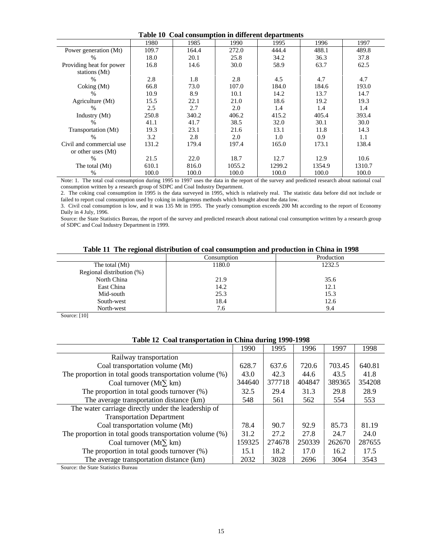| Table To Coal consumption in different departments |       |       |        |        |        |        |  |  |  |  |
|----------------------------------------------------|-------|-------|--------|--------|--------|--------|--|--|--|--|
|                                                    | 1980  | 1985  | 1990   | 1995   | 1996   | 1997   |  |  |  |  |
| Power generation (Mt)                              | 109.7 | 164.4 | 272.0  | 444.4  | 488.1  | 489.8  |  |  |  |  |
| $\%$                                               | 18.0  | 20.1  | 25.8   | 34.2   | 36.3   | 37.8   |  |  |  |  |
| Providing heat for power                           | 16.8  | 14.6  | 30.0   | 58.9   | 63.7   | 62.5   |  |  |  |  |
| stations (Mt)                                      |       |       |        |        |        |        |  |  |  |  |
| $\%$                                               | 2.8   | 1.8   | 2.8    | 4.5    | 4.7    | 4.7    |  |  |  |  |
| Coking (Mt)                                        | 66.8  | 73.0  | 107.0  | 184.0  | 184.6  | 193.0  |  |  |  |  |
| $\%$                                               | 10.9  | 8.9   | 10.1   | 14.2   | 13.7   | 14.7   |  |  |  |  |
| Agriculture (Mt)                                   | 15.5  | 22.1  | 21.0   | 18.6   | 19.2   | 19.3   |  |  |  |  |
| $\%$                                               | 2.5   | 2.7   | 2.0    | 1.4    | 1.4    | 1.4    |  |  |  |  |
| Industry (Mt)                                      | 250.8 | 340.2 | 406.2  | 415.2  | 405.4  | 393.4  |  |  |  |  |
| $\frac{0}{0}$                                      | 41.1  | 41.7  | 38.5   | 32.0   | 30.1   | 30.0   |  |  |  |  |
| Transportation (Mt)                                | 19.3  | 23.1  | 21.6   | 13.1   | 11.8   | 14.3   |  |  |  |  |
| $\frac{0}{0}$                                      | 3.2   | 2.8   | 2.0    | 1.0    | 0.9    | 1.1    |  |  |  |  |
| Civil and commercial use                           | 131.2 | 179.4 | 197.4  | 165.0  | 173.1  | 138.4  |  |  |  |  |
| or other uses (Mt)                                 |       |       |        |        |        |        |  |  |  |  |
| $\%$                                               | 21.5  | 22.0  | 18.7   | 12.7   | 12.9   | 10.6   |  |  |  |  |
| The total (Mt)                                     | 610.1 | 816.0 | 1055.2 | 1299.2 | 1354.9 | 1310.7 |  |  |  |  |
| $\%$                                               | 100.0 | 100.0 | 100.0  | 100.0  | 100.0  | 100.0  |  |  |  |  |

#### **Table 10 Coal consumption in different departments**

Note: 1. The total coal consumption during 1995 to 1997 uses the data in the report of the survey and predicted research about national coal consumption written by a research group of SDPC and Coal Industry Department.

2. The coking coal consumption in 1995 is the data surveyed in 1995, which is relatively real. The statistic data before did not include or failed to report coal consumption used by coking in indigenous methods which brought about the data low.

3. Civil coal consumption is low, and it was 135 Mt in 1995. The yearly consumption exceeds 200 Mt according to the report of Economy Daily in 4 July, 1996.

Source: the State Statistics Bureau, the report of the survey and predicted research about national coal consumption written by a research group of SDPC and Coal Industry Department in 1999.

|  |  |  | Table 11 The regional distribution of coal consumption and production in China in 1998 |
|--|--|--|----------------------------------------------------------------------------------------|
|  |  |  |                                                                                        |

|                           | Consumption | Production |
|---------------------------|-------------|------------|
| The total (Mt)            | 1180.0      | 1232.5     |
| Regional distribution (%) |             |            |
| North China               | 21.9        | 35.6       |
| East China                | 14.2        | 12.1       |
| Mid-south                 | 25.3        | 15.3       |
| South-west                | 18.4        | 12.6       |
| North-west                | 7.6         | 9.4        |

Source: [10]

| Table 12 Coal transportation in China during 1990-1998     |        |        |        |        |        |
|------------------------------------------------------------|--------|--------|--------|--------|--------|
|                                                            | 1990   | 1995   | 1996   | 1997   | 1998   |
| Railway transportation                                     |        |        |        |        |        |
| Coal transportation volume (Mt)                            | 628.7  | 637.6  | 720.6  | 703.45 | 640.81 |
| The proportion in total goods transportation volume $(\%)$ | 43.0   | 42.3   | 44.6   | 43.5   | 41.8   |
| Coal turnover $(Mt· km)$                                   | 344640 | 377718 | 404847 | 389365 | 354208 |
| The proportion in total goods turnover $(\%)$              | 32.5   | 29.4   | 31.3   | 29.8   | 28.9   |
| The average transportation distance (km)                   | 548    | 561    | 562    | 554    | 553    |
| The water carriage directly under the leadership of        |        |        |        |        |        |
| <b>Transportation Department</b>                           |        |        |        |        |        |
| Coal transportation volume (Mt)                            | 78.4   | 90.7   | 92.9   | 85.73  | 81.19  |
| The proportion in total goods transportation volume $(\%)$ | 31.2   | 27.2   | 27.8   | 24.7   | 24.0   |
| Coal turnover $(Mt \cdot km)$                              | 159325 | 274678 | 250339 | 262670 | 287655 |
| The proportion in total goods turnover $(\%)$              | 15.1   | 18.2   | 17.0   | 16.2   | 17.5   |
| The average transportation distance (km)                   | 2032   | 3028   | 2696   | 3064   | 3543   |

Source: the State Statistics Bureau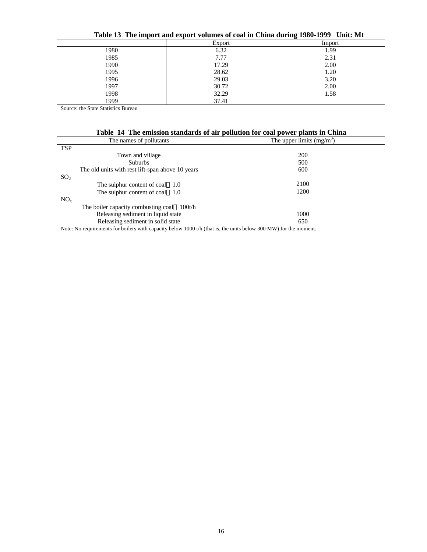| Table 13 The import and export volumes of coal in China during 1980-1999 Unit: Mt |        |        |  |
|-----------------------------------------------------------------------------------|--------|--------|--|
|                                                                                   | Export | Import |  |
| 1980                                                                              | 6.32   | 1.99   |  |
| 1985                                                                              | 7.77   | 2.31   |  |
| 1990                                                                              | 17.29  | 2.00   |  |
| 1995                                                                              | 28.62  | 1.20   |  |
| 1996                                                                              | 29.03  | 3.20   |  |
| 1997                                                                              | 30.72  | 2.00   |  |
| 1998                                                                              | 32.29  | 1.58   |  |
| 1999                                                                              | 37.41  |        |  |

## **Table 13 The import and export volumes of coal in China during 1980-1999 Unit: Mt**

Source: the State Statistics Bureau

| Table 14 The emission standards of air pollution for coal power plants in China |  |  |
|---------------------------------------------------------------------------------|--|--|
|---------------------------------------------------------------------------------|--|--|

| The names of pollutants                          | The upper limits $(mg/m3)$ |
|--------------------------------------------------|----------------------------|
| <b>TSP</b>                                       |                            |
| Town and village                                 | <b>200</b>                 |
| <b>Suburbs</b>                                   | 500                        |
| The old units with rest lift-span above 10 years | 600                        |
| SO <sub>2</sub>                                  |                            |
| The sulphur content of coal $1.0$                | 2100                       |
| The sulphur content of coal $1.0$                | 1200                       |
| NO <sub>x</sub>                                  |                            |
| The boiler capacity combusting coal<br>100t/h    |                            |
| Releasing sediment in liquid state               | 1000                       |
| Releasing sediment in solid state                | 650                        |

Note: No requirements for boilers with capacity below 1000 t/h (that is, the units below 300 MW) for the moment.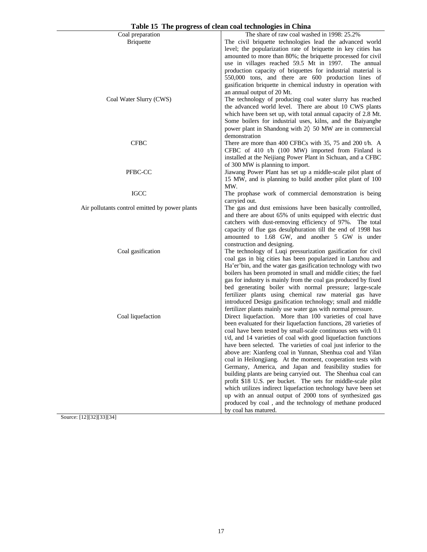|                                                | Table 19 The progress of clean coal technologies in China                                                             |
|------------------------------------------------|-----------------------------------------------------------------------------------------------------------------------|
| Coal preparation                               | The share of raw coal washed in 1998: 25.2%                                                                           |
| <b>Briquette</b>                               | The civil briquette technologies lead the advanced world                                                              |
|                                                | level; the popularization rate of briquette in key cities has                                                         |
|                                                | amounted to more than 80%; the briquette processed for civil                                                          |
|                                                | use in villages reached 59.5 Mt in 1997.<br>The annual                                                                |
|                                                | production capacity of briquettes for industrial material is                                                          |
|                                                | 550,000 tons, and there are 600 production lines of                                                                   |
|                                                | gasification briquette in chemical industry in operation with                                                         |
|                                                | an annual output of 20 Mt.                                                                                            |
| Coal Water Slurry (CWS)                        | The technology of producing coal water slurry has reached                                                             |
|                                                | the advanced world level. There are about 10 CWS plants                                                               |
|                                                | which have been set up, with total annual capacity of 2.8 Mt.                                                         |
|                                                | Some boilers for industrial uses, kilns, and the Baiyanghe                                                            |
|                                                | power plant in Shandong with $2 \times 50$ MW are in commercial<br>demonstration                                      |
| <b>CFBC</b>                                    | There are more than 400 CFBCs with 35, 75 and 200 t/h. A                                                              |
|                                                | CFBC of 410 t/h (100 MW) imported from Finland is                                                                     |
|                                                | installed at the Neijiang Power Plant in Sichuan, and a CFBC                                                          |
|                                                | of 300 MW is planning to import.                                                                                      |
| PFBC-CC                                        | Jiawang Power Plant has set up a middle-scale pilot plant of                                                          |
|                                                | 15 MW, and is planning to build another pilot plant of 100                                                            |
|                                                | MW.                                                                                                                   |
| <b>IGCC</b>                                    | The prophase work of commercial demonstration is being<br>carryied out.                                               |
| Air pollutants control emitted by power plants | The gas and dust emissions have been basically controlled,                                                            |
|                                                | and there are about 65% of units equipped with electric dust                                                          |
|                                                | catchers with dust-removing efficiency of 97%. The total                                                              |
|                                                | capacity of flue gas desulphuration till the end of 1998 has                                                          |
|                                                | amounted to 1.68 GW, and another 5 GW is under                                                                        |
|                                                | construction and designing.                                                                                           |
| Coal gasification                              | The technology of Luqi pressurization gasification for civil                                                          |
|                                                | coal gas in big cities has been popularized in Lanzhou and                                                            |
|                                                | Ha'er'bin, and the water gas gasification technology with two                                                         |
|                                                | boilers has been promoted in small and middle cities; the fuel                                                        |
|                                                | gas for industry is mainly from the coal gas produced by fixed                                                        |
|                                                | bed generating boiler with normal pressure; large-scale                                                               |
|                                                | fertilizer plants using chemical raw material gas have<br>introduced Desigu gasification technology; small and middle |
|                                                | fertilizer plants mainly use water gas with normal pressure.                                                          |
| Coal liquefaction                              | Direct liquefaction. More than 100 varieties of coal have                                                             |
|                                                | been evaluated for their liquefaction functions, 28 varieties of                                                      |
|                                                | coal have been tested by small-scale continuous sets with 0.1                                                         |
|                                                | t/d, and 14 varieties of coal with good liquefaction functions                                                        |
|                                                | have been selected. The varieties of coal just inferior to the                                                        |
|                                                | above are: Xianfeng coal in Yunnan, Shenhua coal and Yilan                                                            |
|                                                | coal in Heilongjiang. At the moment, cooperation tests with                                                           |
|                                                | Germany, America, and Japan and feasibility studies for                                                               |
|                                                | building plants are being carryied out. The Shenhua coal can                                                          |
|                                                | profit \$18 U.S. per bucket. The sets for middle-scale pilot                                                          |
|                                                | which utilizes indirect liquefaction technology have been set                                                         |
|                                                | up with an annual output of 2000 tons of synthesized gas                                                              |
|                                                | produced by coal, and the technology of methane produced                                                              |
|                                                | by coal has matured.                                                                                                  |

#### **Table 15 The progress of clean coal technologies in China**

Source: [12][32][33][34]